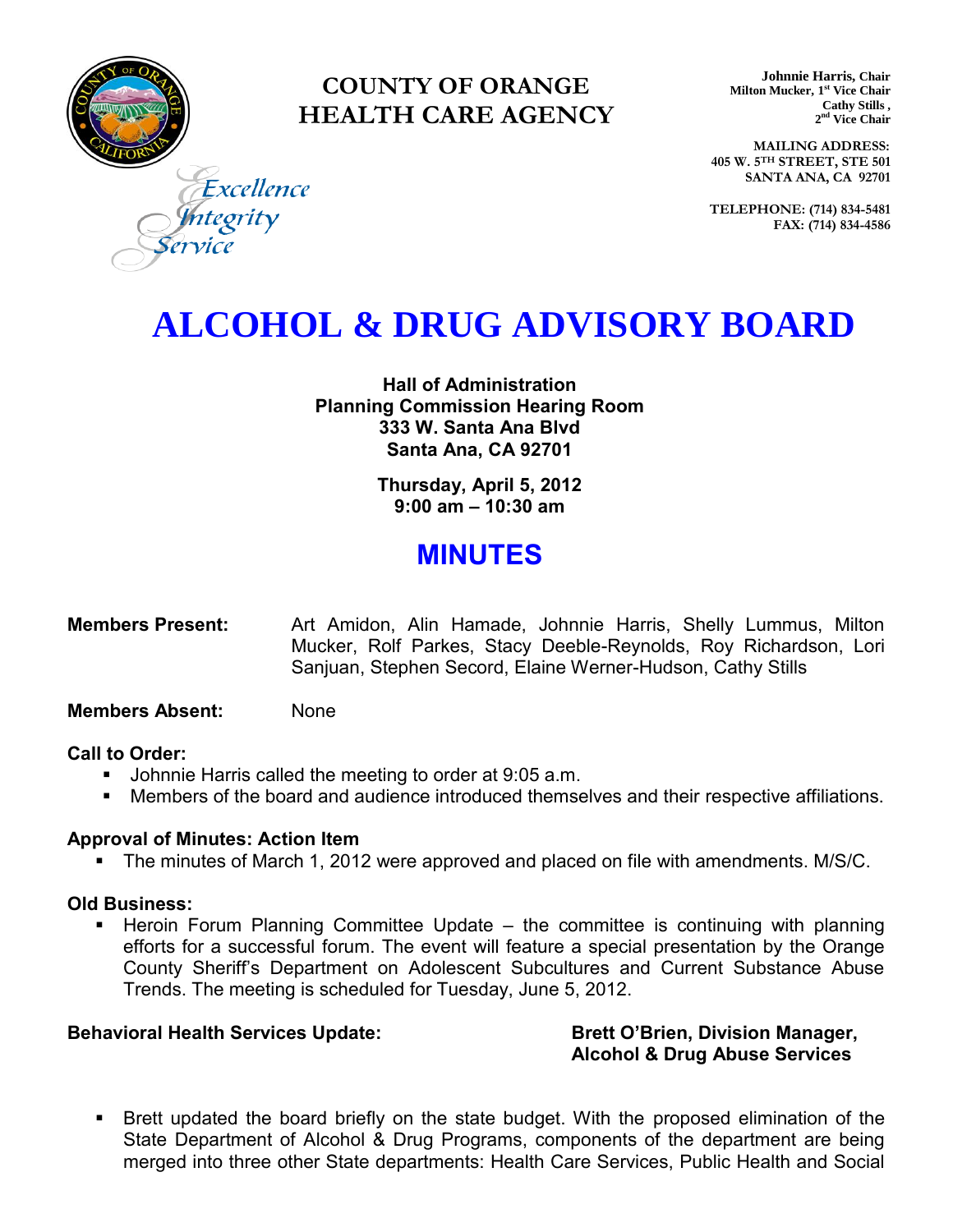

### **COUNTY OF ORANGE HEALTH CARE AGENCY**

**Johnnie Harris, Chair Milton Mucker, 1 st Vice Chair Cathy Stills , 2 nd Vice Chair**

**MAILING ADDRESS: 405 W. 5TH STREET, STE 501 SANTA ANA, CA 92701**

**TELEPHONE: (714) 834-5481 FAX: (714) 834-4586**

Excellence ntegrity

## **ALCOHOL & DRUG ADVISORY BOARD**

**Hall of Administration Planning Commission Hearing Room 333 W. Santa Ana Blvd Santa Ana, CA 92701** 

> **Thursday, April 5, 2012 9:00 am – 10:30 am**

### **MINUTES**

**Members Present:** Art Amidon, Alin Hamade, Johnnie Harris, Shelly Lummus, Milton Mucker, Rolf Parkes, Stacy Deeble-Reynolds, Roy Richardson, Lori Sanjuan, Stephen Secord, Elaine Werner-Hudson, Cathy Stills

#### **Members Absent:** None

#### **Call to Order:**

- **Johnnie Harris called the meeting to order at 9:05 a.m.**
- Members of the board and audience introduced themselves and their respective affiliations.

#### **Approval of Minutes: Action Item**

The minutes of March 1, 2012 were approved and placed on file with amendments. M/S/C.

#### **Old Business:**

 Heroin Forum Planning Committee Update – the committee is continuing with planning efforts for a successful forum. The event will feature a special presentation by the Orange County Sheriff's Department on Adolescent Subcultures and Current Substance Abuse Trends. The meeting is scheduled for Tuesday, June 5, 2012.

#### Behavioral Health Services Update: Brett O'Brien, Division Manager,

# **Alcohol & Drug Abuse Services**

 Brett updated the board briefly on the state budget. With the proposed elimination of the State Department of Alcohol & Drug Programs, components of the department are being merged into three other State departments: Health Care Services, Public Health and Social